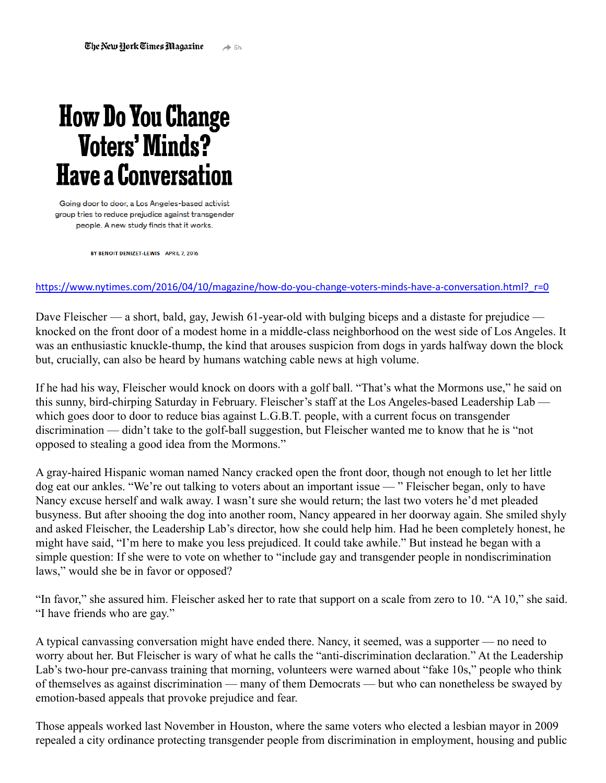## **How Do You Change Voters' Minds? Have a Conversation**

Going door to door, a Los Angeles-based activist group tries to reduce prejudice against transgender people. A new study finds that it works.

BY BENOIT DENIZET-LEWIS APRIL 7, 2016

## [https://www.nytimes.com/2016/04/10/magazine/how-do-you-change-voters-minds-have-a-conversation.html?\\_r=0](https://www.nytimes.com/2016/04/10/magazine/how-do-you-change-voters-minds-have-a-conversation.html?_r=0)

Dave Fleischer — a short, bald, gay, Jewish 61-year-old with bulging biceps and a distaste for prejudice knocked on the front door of a modest home in a middle-class neighborhood on the west side of Los Angeles. It was an enthusiastic knuckle-thump, the kind that arouses suspicion from dogs in yards halfway down the block but, crucially, can also be heard by humans watching cable news at high volume.

If he had his way, Fleischer would knock on doors with a golf ball. "That's what the Mormons use," he said on this sunny, bird-chirping Saturday in February. Fleischer's staff at the Los Angeles-based Leadership Lab which goes door to door to reduce bias against L.G.B.T. people, with a current focus on transgender discrimination — didn't take to the golf-ball suggestion, but Fleischer wanted me to know that he is "not opposed to stealing a good idea from the Mormons."

A gray-haired Hispanic woman named Nancy cracked open the front door, though not enough to let her little dog eat our ankles. "We're out talking to voters about an important issue — " Fleischer began, only to have Nancy excuse herself and walk away. I wasn't sure she would return; the last two voters he'd met pleaded busyness. But after shooing the dog into another room, Nancy appeared in her doorway again. She smiled shyly and asked Fleischer, the Leadership Lab's director, how she could help him. Had he been completely honest, he might have said, "I'm here to make you less prejudiced. It could take awhile." But instead he began with a simple question: If she were to vote on whether to "include gay and transgender people in nondiscrimination laws," would she be in favor or opposed?

"In favor," she assured him. Fleischer asked her to rate that support on a scale from zero to 10. "A 10," she said. "I have friends who are gay."

A typical canvassing conversation might have ended there. Nancy, it seemed, was a supporter — no need to worry about her. But Fleischer is wary of what he calls the "anti-discrimination declaration." At the Leadership Lab's two-hour pre-canvass training that morning, volunteers were warned about "fake 10s," people who think of themselves as against discrimination — many of them Democrats — but who can nonetheless be swayed by emotion-based appeals that provoke prejudice and fear.

Those appeals worked last November in Houston, where the same voters who elected a lesbian mayor in 2009 repealed a city ordinance protecting transgender people from discrimination in employment, housing and public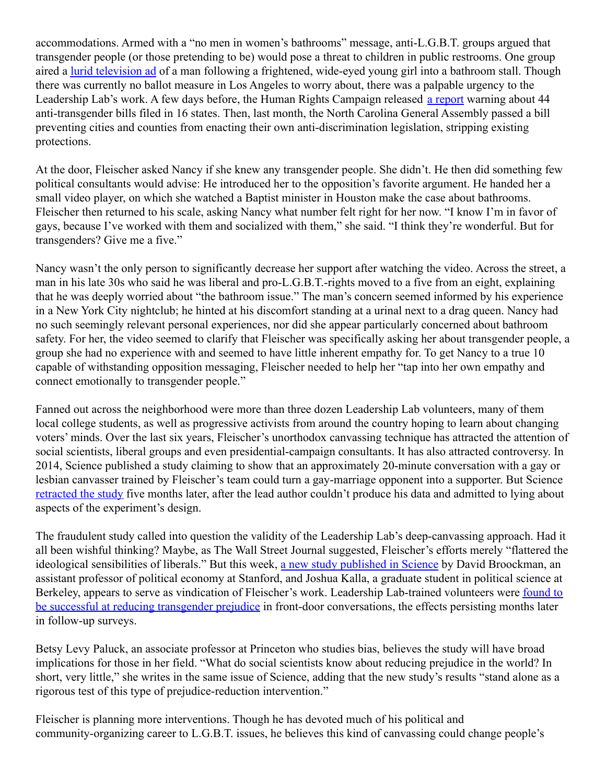accommodations. Armed with a "no men in women's bathrooms" message, anti-L.G.B.T. groups argued that transgender people (or those pretending to be) would pose a threat to children in public restrooms. One group aired a [lurid television ad](https://www.youtube.com/watch?v=D7thOvSvC4E) of a man following a frightened, wide-eyed young girl into a bathroom stall. Though there was currently no ballot measure in Los Angeles to worry about, there was a palpable urgency to the Leadership Lab's work. A few days before, the Human Rights Campaign released [a report](http://hrc-assets.s3-website-us-east-1.amazonaws.com/files/assets/resources/HRC-Anti-Trans-Issue-Brief-FINAL-REV2.pdf) warning about 44 anti-transgender bills filed in 16 states. Then, last month, the North Carolina General Assembly passed a bill preventing cities and counties from enacting their own anti-discrimination legislation, stripping existing protections.

At the door, Fleischer asked Nancy if she knew any transgender people. She didn't. He then did something few political consultants would advise: He introduced her to the opposition's favorite argument. He handed her a small video player, on which she watched a Baptist minister in Houston make the case about bathrooms. Fleischer then returned to his scale, asking Nancy what number felt right for her now. "I know I'm in favor of gays, because I've worked with them and socialized with them," she said. "I think they're wonderful. But for transgenders? Give me a five."

Nancy wasn't the only person to significantly decrease her support after watching the video. Across the street, a man in his late 30s who said he was liberal and pro-L.G.B.T.-rights moved to a five from an eight, explaining that he was deeply worried about "the bathroom issue." The man's concern seemed informed by his experience in a New York City nightclub; he hinted at his discomfort standing at a urinal next to a drag queen. Nancy had no such seemingly relevant personal experiences, nor did she appear particularly concerned about bathroom safety. For her, the video seemed to clarify that Fleischer was specifically asking her about transgender people, a group she had no experience with and seemed to have little inherent empathy for. To get Nancy to a true 10 capable of withstanding opposition messaging, Fleischer needed to help her "tap into her own empathy and connect emotionally to transgender people."

Fanned out across the neighborhood were more than three dozen Leadership Lab volunteers, many of them local college students, as well as progressive activists from around the country hoping to learn about changing voters' minds. Over the last six years, Fleischer's unorthodox canvassing technique has attracted the attention of social scientists, liberal groups and even presidential-campaign consultants. It has also attracted controversy. In 2014, Science published a study claiming to show that an approximately 20-minute conversation with a gay or lesbian canvasser trained by Fleischer's team could turn a gay-marriage opponent into a supporter. But Science [retracted the study](http://science.sciencemag.org/content/early/2015/05/27/science.aac6638) five months later, after the lead author couldn't produce his data and admitted to lying about aspects of the experiment's design.

The fraudulent study called into question the validity of the Leadership Lab's deep-canvassing approach. Had it all been wishful thinking? Maybe, as The Wall Street Journal suggested, Fleischer's efforts merely "flattered the ideological sensibilities of liberals." But this week, [a new study published in Science](http://science.sciencemag.org/cgi/doi/10.1126/science.aad9713) by David Broockman, an assistant professor of political economy at Stanford, and Joshua Kalla, a graduate student in political science at Berkeley, appears to serve as vindication of Fleischer's work. Leadership Lab-trained volunteers were [found](http://www.nytimes.com/2016/04/08/science/doorstep-canvassing-can-shift-views-on-transgender-rights-study-finds.html) to [be successful at reducing transgender prejudice](http://www.nytimes.com/2016/04/08/science/doorstep-canvassing-can-shift-views-on-transgender-rights-study-finds.html) in front-door conversations, the effects persisting months later in follow-up surveys.

Betsy Levy Paluck, an associate professor at Princeton who studies bias, believes the study will have broad implications for those in her field. "What do social scientists know about reducing prejudice in the world? In short, very little," she writes in the same issue of Science, adding that the new study's results "stand alone as a rigorous test of this type of prejudice-reduction intervention."

Fleischer is planning more interventions. Though he has devoted much of his political and community-organizing career to L.G.B.T. issues, he believes this kind of canvassing could change people's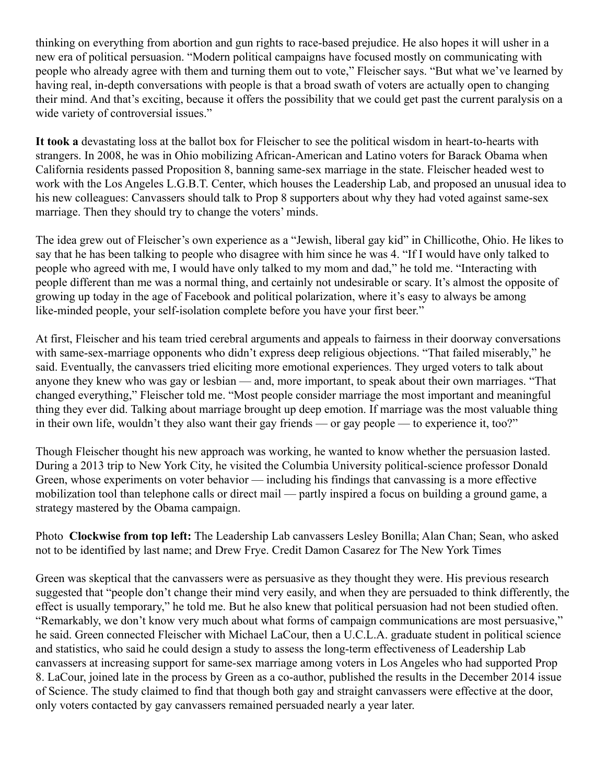thinking on everything from abortion and gun rights to race-based prejudice. He also hopes it will usher in a new era of political persuasion. "Modern political campaigns have focused mostly on communicating with people who already agree with them and turning them out to vote," Fleischer says. "But what we've learned by having real, in-depth conversations with people is that a broad swath of voters are actually open to changing their mind. And that's exciting, because it offers the possibility that we could get past the current paralysis on a wide variety of controversial issues."

**It took a** devastating loss at the ballot box for Fleischer to see the political wisdom in heart-to-hearts with strangers. In 2008, he was in Ohio mobilizing African-American and Latino voters for Barack Obama when California residents passed Proposition 8, banning same-sex marriage in the state. Fleischer headed west to work with the Los Angeles L.G.B.T. Center, which houses the Leadership Lab, and proposed an unusual idea to his new colleagues: Canvassers should talk to Prop 8 supporters about why they had voted against same-sex marriage. Then they should try to change the voters' minds.

The idea grew out of Fleischer's own experience as a "Jewish, liberal gay kid" in Chillicothe, Ohio. He likes to say that he has been talking to people who disagree with him since he was 4. "If I would have only talked to people who agreed with me, I would have only talked to my mom and dad," he told me. "Interacting with people different than me was a normal thing, and certainly not undesirable or scary. It's almost the opposite of growing up today in the age of Facebook and political polarization, where it's easy to always be among like-minded people, your self-isolation complete before you have your first beer."

At first, Fleischer and his team tried cerebral arguments and appeals to fairness in their doorway conversations with same-sex-marriage opponents who didn't express deep religious objections. "That failed miserably," he said. Eventually, the canvassers tried eliciting more emotional experiences. They urged voters to talk about anyone they knew who was gay or lesbian — and, more important, to speak about their own marriages. "That changed everything," Fleischer told me. "Most people consider marriage the most important and meaningful thing they ever did. Talking about marriage brought up deep emotion. If marriage was the most valuable thing in their own life, wouldn't they also want their gay friends — or gay people — to experience it, too?"

Though Fleischer thought his new approach was working, he wanted to know whether the persuasion lasted. During a 2013 trip to New York City, he visited the Columbia University political-science professor Donald Green, whose experiments on voter behavior — including his findings that canvassing is a more effective mobilization tool than telephone calls or direct mail — partly inspired a focus on building a ground game, a strategy mastered by the Obama campaign.

Photo **Clockwise from top left:** The Leadership Lab canvassers Lesley Bonilla; Alan Chan; Sean, who asked not to be identified by last name; and Drew Frye. Credit Damon Casarez for The New York Times

Green was skeptical that the canvassers were as persuasive as they thought they were. His previous research suggested that "people don't change their mind very easily, and when they are persuaded to think differently, the effect is usually temporary," he told me. But he also knew that political persuasion had not been studied often. "Remarkably, we don't know very much about what forms of campaign communications are most persuasive," he said. Green connected Fleischer with Michael LaCour, then a U.C.L.A. graduate student in political science and statistics, who said he could design a study to assess the long-term effectiveness of Leadership Lab canvassers at increasing support for same-sex marriage among voters in Los Angeles who had supported Prop 8. LaCour, joined late in the process by Green as a co-author, published the results in the December 2014 issue of Science. The study claimed to find that though both gay and straight canvassers were effective at the door, only voters contacted by gay canvassers remained persuaded nearly a year later.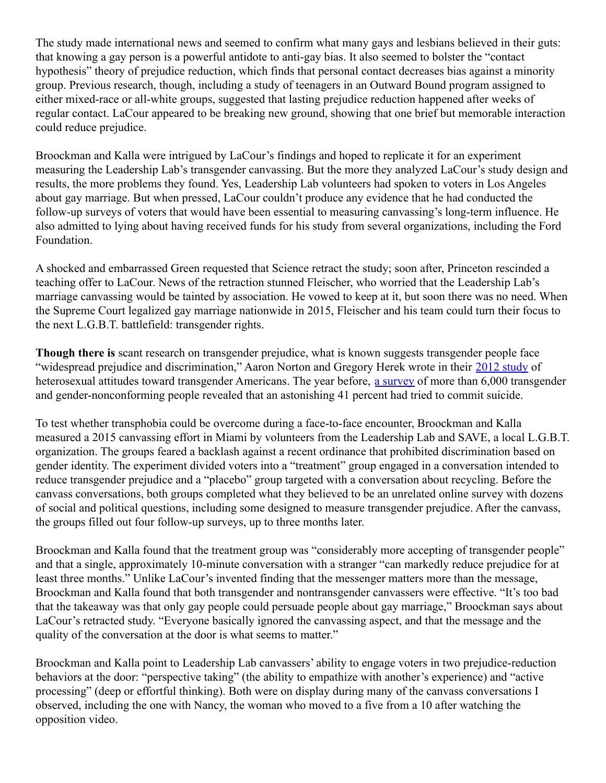The study made international news and seemed to confirm what many gays and lesbians believed in their guts: that knowing a gay person is a powerful antidote to anti-gay bias. It also seemed to bolster the "contact hypothesis" theory of prejudice reduction, which finds that personal contact decreases bias against a minority group. Previous research, though, including a study of teenagers in an Outward Bound program assigned to either mixed-race or all-white groups, suggested that lasting prejudice reduction happened after weeks of regular contact. LaCour appeared to be breaking new ground, showing that one brief but memorable interaction could reduce prejudice.

Broockman and Kalla were intrigued by LaCour's findings and hoped to replicate it for an experiment measuring the Leadership Lab's transgender canvassing. But the more they analyzed LaCour's study design and results, the more problems they found. Yes, Leadership Lab volunteers had spoken to voters in Los Angeles about gay marriage. But when pressed, LaCour couldn't produce any evidence that he had conducted the follow-up surveys of voters that would have been essential to measuring canvassing's long-term influence. He also admitted to lying about having received funds for his study from several organizations, including the Ford Foundation.

A shocked and embarrassed Green requested that Science retract the study; soon after, Princeton rescinded a teaching offer to LaCour. News of the retraction stunned Fleischer, who worried that the Leadership Lab's marriage canvassing would be tainted by association. He vowed to keep at it, but soon there was no need. When the Supreme Court legalized gay marriage nationwide in 2015, Fleischer and his team could turn their focus to the next L.G.B.T. battlefield: transgender rights.

**Though there is** scant research on transgender prejudice, what is known suggests transgender people face "widespread prejudice and discrimination," Aaron Norton and Gregory Herek wrote in their [2012 study](http://pscresearch.faculty.ucdavis.edu/wp-content/uploads/sites/112/2014/09/Herek-hetero-attitude-transgender-1012.pdf) of heterosexual attitudes toward transgender Americans. The year before, [a survey](http://endtransdiscrimination.org/PDFs/NTDS_Exec_Summary.pdf) of more than 6,000 transgender and gender-nonconforming people revealed that an astonishing 41 percent had tried to commit suicide.

To test whether transphobia could be overcome during a face-to-face encounter, Broockman and Kalla measured a 2015 canvassing effort in Miami by volunteers from the Leadership Lab and SAVE, a local L.G.B.T. organization. The groups feared a backlash against a recent ordinance that prohibited discrimination based on gender identity. The experiment divided voters into a "treatment" group engaged in a conversation intended to reduce transgender prejudice and a "placebo" group targeted with a conversation about recycling. Before the canvass conversations, both groups completed what they believed to be an unrelated online survey with dozens of social and political questions, including some designed to measure transgender prejudice. After the canvass, the groups filled out four follow-up surveys, up to three months later.

Broockman and Kalla found that the treatment group was "considerably more accepting of transgender people" and that a single, approximately 10-minute conversation with a stranger "can markedly reduce prejudice for at least three months." Unlike LaCour's invented finding that the messenger matters more than the message, Broockman and Kalla found that both transgender and nontransgender canvassers were effective. "It's too bad that the takeaway was that only gay people could persuade people about gay marriage," Broockman says about LaCour's retracted study. "Everyone basically ignored the canvassing aspect, and that the message and the quality of the conversation at the door is what seems to matter."

Broockman and Kalla point to Leadership Lab canvassers' ability to engage voters in two prejudice-reduction behaviors at the door: "perspective taking" (the ability to empathize with another's experience) and "active processing" (deep or effortful thinking). Both were on display during many of the canvass conversations I observed, including the one with Nancy, the woman who moved to a five from a 10 after watching the opposition video.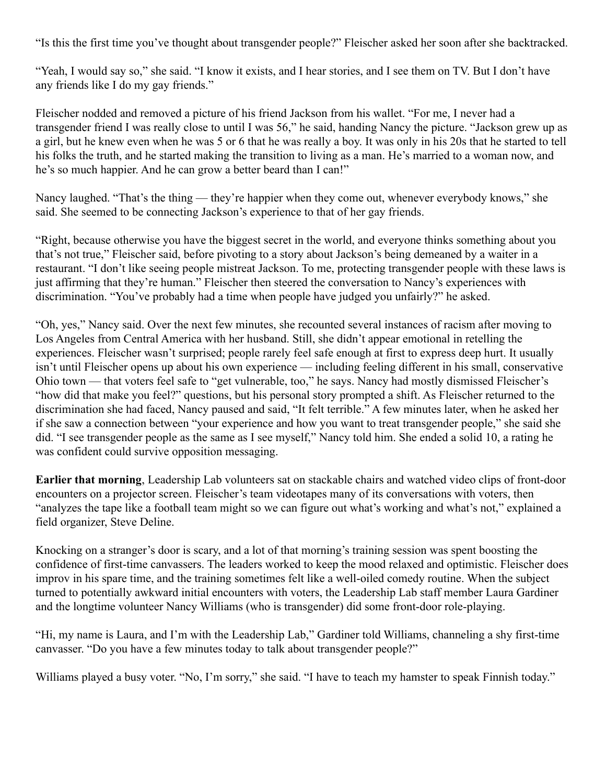"Is this the first time you've thought about transgender people?" Fleischer asked her soon after she backtracked.

"Yeah, I would say so," she said. "I know it exists, and I hear stories, and I see them on TV. But I don't have any friends like I do my gay friends."

Fleischer nodded and removed a picture of his friend Jackson from his wallet. "For me, I never had a transgender friend I was really close to until I was 56," he said, handing Nancy the picture. "Jackson grew up as a girl, but he knew even when he was 5 or 6 that he was really a boy. It was only in his 20s that he started to tell his folks the truth, and he started making the transition to living as a man. He's married to a woman now, and he's so much happier. And he can grow a better beard than I can!"

Nancy laughed. "That's the thing — they're happier when they come out, whenever everybody knows," she said. She seemed to be connecting Jackson's experience to that of her gay friends.

"Right, because otherwise you have the biggest secret in the world, and everyone thinks something about you that's not true," Fleischer said, before pivoting to a story about Jackson's being demeaned by a waiter in a restaurant. "I don't like seeing people mistreat Jackson. To me, protecting transgender people with these laws is just affirming that they're human." Fleischer then steered the conversation to Nancy's experiences with discrimination. "You've probably had a time when people have judged you unfairly?" he asked.

"Oh, yes," Nancy said. Over the next few minutes, she recounted several instances of racism after moving to Los Angeles from Central America with her husband. Still, she didn't appear emotional in retelling the experiences. Fleischer wasn't surprised; people rarely feel safe enough at first to express deep hurt. It usually isn't until Fleischer opens up about his own experience — including feeling different in his small, conservative Ohio town — that voters feel safe to "get vulnerable, too," he says. Nancy had mostly dismissed Fleischer's "how did that make you feel?" questions, but his personal story prompted a shift. As Fleischer returned to the discrimination she had faced, Nancy paused and said, "It felt terrible." A few minutes later, when he asked her if she saw a connection between "your experience and how you want to treat transgender people," she said she did. "I see transgender people as the same as I see myself," Nancy told him. She ended a solid 10, a rating he was confident could survive opposition messaging.

**Earlier that morning**, Leadership Lab volunteers sat on stackable chairs and watched video clips of front-door encounters on a projector screen. Fleischer's team videotapes many of its conversations with voters, then "analyzes the tape like a football team might so we can figure out what's working and what's not," explained a field organizer, Steve Deline.

Knocking on a stranger's door is scary, and a lot of that morning's training session was spent boosting the confidence of first-time canvassers. The leaders worked to keep the mood relaxed and optimistic. Fleischer does improv in his spare time, and the training sometimes felt like a well-oiled comedy routine. When the subject turned to potentially awkward initial encounters with voters, the Leadership Lab staff member Laura Gardiner and the longtime volunteer Nancy Williams (who is transgender) did some front-door role-playing.

"Hi, my name is Laura, and I'm with the Leadership Lab," Gardiner told Williams, channeling a shy first-time canvasser. "Do you have a few minutes today to talk about transgender people?"

Williams played a busy voter. "No, I'm sorry," she said. "I have to teach my hamster to speak Finnish today."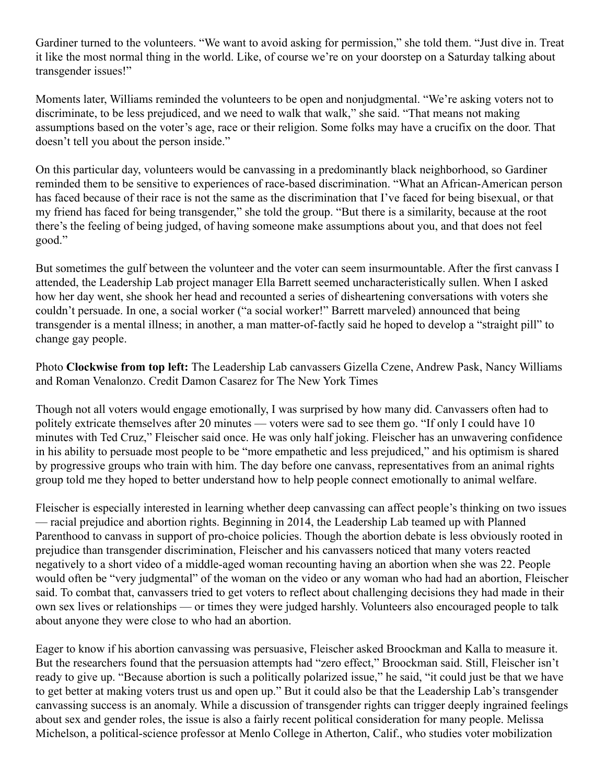Gardiner turned to the volunteers. "We want to avoid asking for permission," she told them. "Just dive in. Treat it like the most normal thing in the world. Like, of course we're on your doorstep on a Saturday talking about transgender issues!"

Moments later, Williams reminded the volunteers to be open and nonjudgmental. "We're asking voters not to discriminate, to be less prejudiced, and we need to walk that walk," she said. "That means not making assumptions based on the voter's age, race or their religion. Some folks may have a crucifix on the door. That doesn't tell you about the person inside."

On this particular day, volunteers would be canvassing in a predominantly black neighborhood, so Gardiner reminded them to be sensitive to experiences of race-based discrimination. "What an African-American person has faced because of their race is not the same as the discrimination that I've faced for being bisexual, or that my friend has faced for being transgender," she told the group. "But there is a similarity, because at the root there's the feeling of being judged, of having someone make assumptions about you, and that does not feel good."

But sometimes the gulf between the volunteer and the voter can seem insurmountable. After the first canvass I attended, the Leadership Lab project manager Ella Barrett seemed uncharacteristically sullen. When I asked how her day went, she shook her head and recounted a series of disheartening conversations with voters she couldn't persuade. In one, a social worker ("a social worker!" Barrett marveled) announced that being transgender is a mental illness; in another, a man matter-of-factly said he hoped to develop a "straight pill" to change gay people.

Photo **Clockwise from top left:** The Leadership Lab canvassers Gizella Czene, Andrew Pask, Nancy Williams and Roman Venalonzo. Credit Damon Casarez for The New York Times

Though not all voters would engage emotionally, I was surprised by how many did. Canvassers often had to politely extricate themselves after 20 minutes — voters were sad to see them go. "If only I could have 10 minutes with Ted Cruz," Fleischer said once. He was only half joking. Fleischer has an unwavering confidence in his ability to persuade most people to be "more empathetic and less prejudiced," and his optimism is shared by progressive groups who train with him. The day before one canvass, representatives from an animal rights group told me they hoped to better understand how to help people connect emotionally to animal welfare.

Fleischer is especially interested in learning whether deep canvassing can affect people's thinking on two issues — racial prejudice and abortion rights. Beginning in 2014, the Leadership Lab teamed up with Planned Parenthood to canvass in support of pro-choice policies. Though the abortion debate is less obviously rooted in prejudice than transgender discrimination, Fleischer and his canvassers noticed that many voters reacted negatively to a short video of a middle-aged woman recounting having an abortion when she was 22. People would often be "very judgmental" of the woman on the video or any woman who had had an abortion, Fleischer said. To combat that, canvassers tried to get voters to reflect about challenging decisions they had made in their own sex lives or relationships — or times they were judged harshly. Volunteers also encouraged people to talk about anyone they were close to who had an abortion.

Eager to know if his abortion canvassing was persuasive, Fleischer asked Broockman and Kalla to measure it. But the researchers found that the persuasion attempts had "zero effect," Broockman said. Still, Fleischer isn't ready to give up. "Because abortion is such a politically polarized issue," he said, "it could just be that we have to get better at making voters trust us and open up." But it could also be that the Leadership Lab's transgender canvassing success is an anomaly. While a discussion of transgender rights can trigger deeply ingrained feelings about sex and gender roles, the issue is also a fairly recent political consideration for many people. Melissa Michelson, a political-science professor at Menlo College in Atherton, Calif., who studies voter mobilization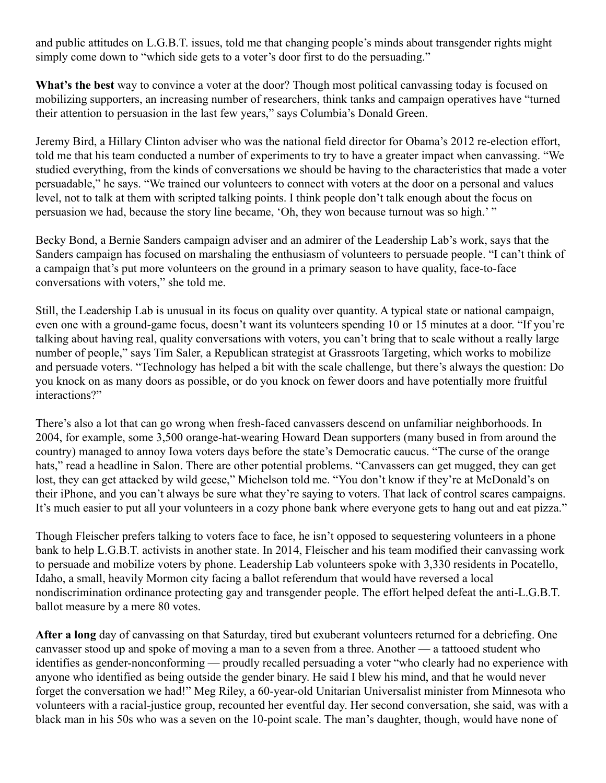and public attitudes on L.G.B.T. issues, told me that changing people's minds about transgender rights might simply come down to "which side gets to a voter's door first to do the persuading."

What's the best way to convince a voter at the door? Though most political canvassing today is focused on mobilizing supporters, an increasing number of researchers, think tanks and campaign operatives have "turned their attention to persuasion in the last few years," says Columbia's Donald Green.

Jeremy Bird, a Hillary Clinton adviser who was the national field director for Obama's 2012 re-election effort, told me that his team conducted a number of experiments to try to have a greater impact when canvassing. "We studied everything, from the kinds of conversations we should be having to the characteristics that made a voter persuadable," he says. "We trained our volunteers to connect with voters at the door on a personal and values level, not to talk at them with scripted talking points. I think people don't talk enough about the focus on persuasion we had, because the story line became, 'Oh, they won because turnout was so high.' "

Becky Bond, a Bernie Sanders campaign adviser and an admirer of the Leadership Lab's work, says that the Sanders campaign has focused on marshaling the enthusiasm of volunteers to persuade people. "I can't think of a campaign that's put more volunteers on the ground in a primary season to have quality, face-to-face conversations with voters," she told me.

Still, the Leadership Lab is unusual in its focus on quality over quantity. A typical state or national campaign, even one with a ground-game focus, doesn't want its volunteers spending 10 or 15 minutes at a door. "If you're talking about having real, quality conversations with voters, you can't bring that to scale without a really large number of people," says Tim Saler, a Republican strategist at Grassroots Targeting, which works to mobilize and persuade voters. "Technology has helped a bit with the scale challenge, but there's always the question: Do you knock on as many doors as possible, or do you knock on fewer doors and have potentially more fruitful interactions?"

There's also a lot that can go wrong when fresh-faced canvassers descend on unfamiliar neighborhoods. In 2004, for example, some 3,500 orange-hat-wearing Howard Dean supporters (many bused in from around the country) managed to annoy Iowa voters days before the state's Democratic caucus. "The curse of the orange hats," read a headline in Salon. There are other potential problems. "Canvassers can get mugged, they can get lost, they can get attacked by wild geese," Michelson told me. "You don't know if they're at McDonald's on their iPhone, and you can't always be sure what they're saying to voters. That lack of control scares campaigns. It's much easier to put all your volunteers in a cozy phone bank where everyone gets to hang out and eat pizza."

Though Fleischer prefers talking to voters face to face, he isn't opposed to sequestering volunteers in a phone bank to help L.G.B.T. activists in another state. In 2014, Fleischer and his team modified their canvassing work to persuade and mobilize voters by phone. Leadership Lab volunteers spoke with 3,330 residents in Pocatello, Idaho, a small, heavily Mormon city facing a ballot referendum that would have reversed a local nondiscrimination ordinance protecting gay and transgender people. The effort helped defeat the anti-L.G.B.T. ballot measure by a mere 80 votes.

**After a long** day of canvassing on that Saturday, tired but exuberant volunteers returned for a debriefing. One canvasser stood up and spoke of moving a man to a seven from a three. Another — a tattooed student who identifies as gender-nonconforming — proudly recalled persuading a voter "who clearly had no experience with anyone who identified as being outside the gender binary. He said I blew his mind, and that he would never forget the conversation we had!" Meg Riley, a 60-year-old Unitarian Universalist minister from Minnesota who volunteers with a racial-justice group, recounted her eventful day. Her second conversation, she said, was with a black man in his 50s who was a seven on the 10-point scale. The man's daughter, though, would have none of